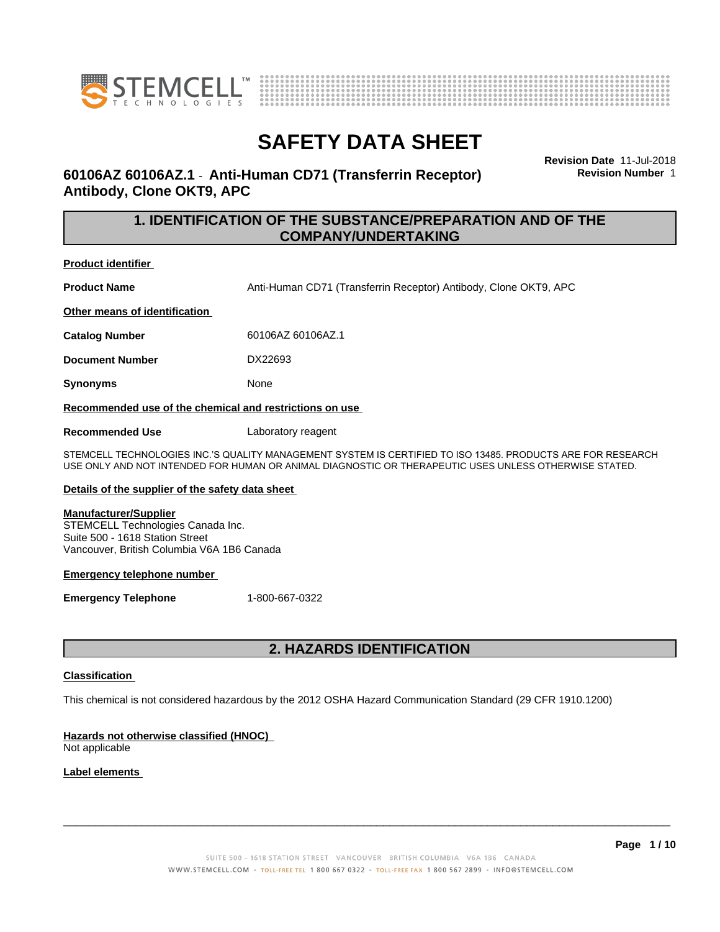



### **60106AZ 60106AZ.1** - **Anti-Human CD71 (Transferrin Receptor) Antibody, Clone OKT9, APC**

**Revision Date** 11-Jul-2018 **Revision Number** 1

### **1. IDENTIFICATION OF THE SUBSTANCE/PREPARATION AND OF THE COMPANY/UNDERTAKING**

**Product identifier**

**Product Name Anti-Human CD71 (Transferrin Receptor) Antibody, Clone OKT9, APC** 

**Other means of identification**

**Catalog Number** 60106AZ 60106AZ.1

**Document Number** DX22693

**Synonyms** None

**Recommended use of the chemical and restrictions on use**

**Recommended Use** Laboratory reagent

STEMCELL TECHNOLOGIES INC.'S QUALITY MANAGEMENT SYSTEM IS CERTIFIED TO ISO 13485. PRODUCTS ARE FOR RESEARCH USE ONLY AND NOT INTENDED FOR HUMAN OR ANIMAL DIAGNOSTIC OR THERAPEUTIC USES UNLESS OTHERWISE STATED.

#### **Details of the supplier of the safety data sheet**

#### **Manufacturer/Supplier**

STEMCELL Technologies Canada Inc. Suite 500 - 1618 Station Street Vancouver, British Columbia V6A 1B6 Canada

#### **Emergency telephone number**

**Emergency Telephone** 1-800-667-0322

### **2. HAZARDS IDENTIFICATION**

#### **Classification**

This chemical is not considered hazardous by the 2012 OSHA Hazard Communication Standard (29 CFR 1910.1200)

#### **Hazards not otherwise classified (HNOC)**

Not applicable

#### **Label elements**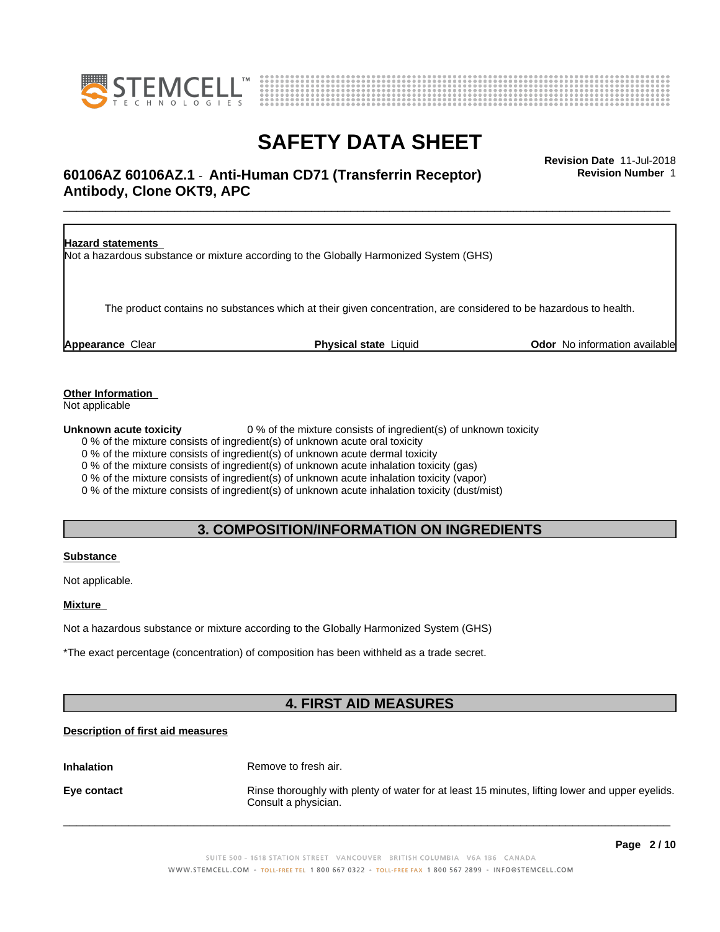



# **SAFETY DATA SHEET**<br>Revision Date 11-Jul-2018

### \_\_\_\_\_\_\_\_\_\_\_\_\_\_\_\_\_\_\_\_\_\_\_\_\_\_\_\_\_\_\_\_\_\_\_\_\_\_\_\_\_\_\_\_\_\_\_\_\_\_\_\_\_\_\_\_\_\_\_\_\_\_\_\_\_\_\_\_\_\_\_\_\_\_\_\_\_\_\_\_\_\_\_\_\_\_\_\_\_\_\_\_\_ **Revision Date** 11-Jul-2018 **60106AZ 60106AZ.1** - **Anti-Human CD71 (Transferrin Receptor) Antibody, Clone OKT9, APC**

**Revision Number** 1

| <b>Hazard statements</b> | Not a hazardous substance or mixture according to the Globally Harmonized System (GHS)                           |                                      |
|--------------------------|------------------------------------------------------------------------------------------------------------------|--------------------------------------|
|                          | The product contains no substances which at their given concentration, are considered to be hazardous to health. |                                      |
| <b>Appearance Clear</b>  | <b>Physical state Liquid</b>                                                                                     | <b>Odor</b> No information available |

**Other Information**

Not applicable

**Unknown acute toxicity** 0 % of the mixture consists of ingredient(s) of unknown toxicity

0 % of the mixture consists of ingredient(s) of unknown acute oral toxicity

0 % of the mixture consists of ingredient(s) of unknown acute dermal toxicity

0 % of the mixture consists of ingredient(s) of unknown acute inhalation toxicity (gas)

0 % of the mixture consists of ingredient(s) of unknown acute inhalation toxicity (vapor)

0 % of the mixture consists of ingredient(s) of unknown acute inhalation toxicity (dust/mist)

### **3. COMPOSITION/INFORMATION ON INGREDIENTS**

#### **Substance**

Not applicable.

#### **Mixture**

Not a hazardous substance or mixture according to the Globally Harmonized System (GHS)

\*The exact percentage (concentration) of composition has been withheld as a trade secret.

### **4. FIRST AID MEASURES**

### **Description of first aid measures**

**Inhalation** Remove to fresh air.

**Eye contact Rinse thoroughly with plenty of water for at least 15 minutes, lifting lower and upper eyelids.** Consult a physician.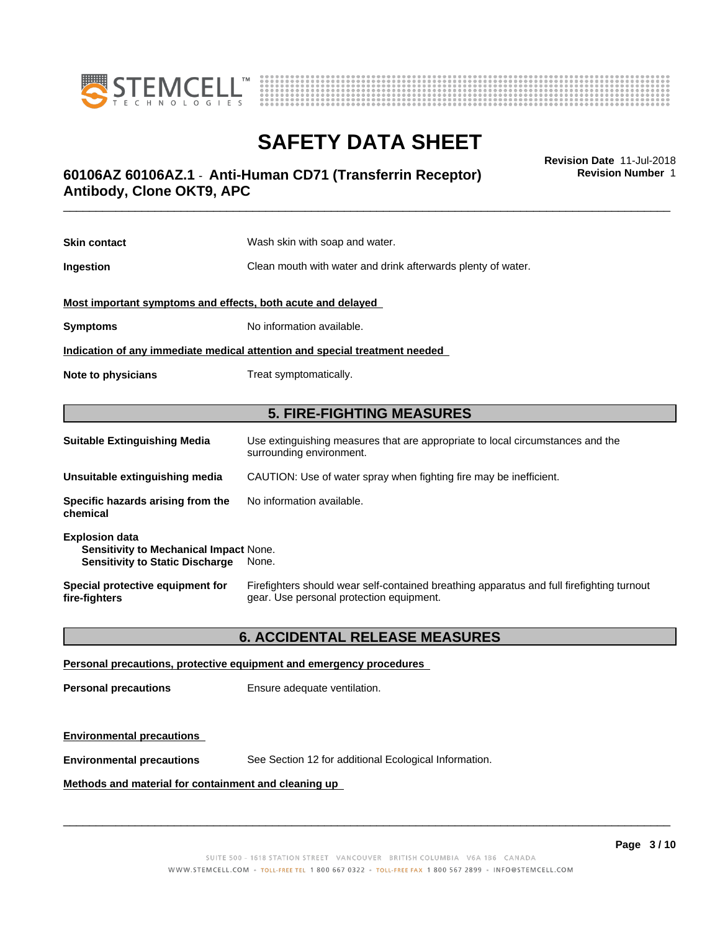



### \_\_\_\_\_\_\_\_\_\_\_\_\_\_\_\_\_\_\_\_\_\_\_\_\_\_\_\_\_\_\_\_\_\_\_\_\_\_\_\_\_\_\_\_\_\_\_\_\_\_\_\_\_\_\_\_\_\_\_\_\_\_\_\_\_\_\_\_\_\_\_\_\_\_\_\_\_\_\_\_\_\_\_\_\_\_\_\_\_\_\_\_\_ **Revision Date** 11-Jul-2018 **60106AZ 60106AZ.1** - **Anti-Human CD71 (Transferrin Receptor) Antibody, Clone OKT9, APC**

**Skin contact** Wash skin with soap and water. **Ingestion Ingestion Clean mouth with water and drink afterwards plenty of water. Most important symptoms and effects, both acute and delayed Symptoms** No information available. **Indication of any immediate medical attention and special treatment needed Note to physicians** Treat symptomatically. **5. FIRE-FIGHTING MEASURES**

| <b>Suitable Extinguishing Media</b>                                                                              | Use extinguishing measures that are appropriate to local circumstances and the<br>surrounding environment.                            |
|------------------------------------------------------------------------------------------------------------------|---------------------------------------------------------------------------------------------------------------------------------------|
| Unsuitable extinguishing media                                                                                   | CAUTION: Use of water spray when fighting fire may be inefficient.                                                                    |
| Specific hazards arising from the<br>chemical                                                                    | No information available.                                                                                                             |
| <b>Explosion data</b><br><b>Sensitivity to Mechanical Impact None.</b><br><b>Sensitivity to Static Discharge</b> | None.                                                                                                                                 |
| Special protective equipment for<br>fire-fighters                                                                | Firefighters should wear self-contained breathing apparatus and full firefighting turnout<br>gear. Use personal protection equipment. |

### **6. ACCIDENTAL RELEASE MEASURES**

### **Personal precautions, protective equipment and emergency procedures**

**Personal precautions** Ensure adequate ventilation.

### **Environmental precautions**

**Environmental precautions** See Section 12 for additional Ecological Information.

### **Methods and material for containment and cleaning up**

 $\overline{\phantom{a}}$  ,  $\overline{\phantom{a}}$  ,  $\overline{\phantom{a}}$  ,  $\overline{\phantom{a}}$  ,  $\overline{\phantom{a}}$  ,  $\overline{\phantom{a}}$  ,  $\overline{\phantom{a}}$  ,  $\overline{\phantom{a}}$  ,  $\overline{\phantom{a}}$  ,  $\overline{\phantom{a}}$  ,  $\overline{\phantom{a}}$  ,  $\overline{\phantom{a}}$  ,  $\overline{\phantom{a}}$  ,  $\overline{\phantom{a}}$  ,  $\overline{\phantom{a}}$  ,  $\overline{\phantom{a}}$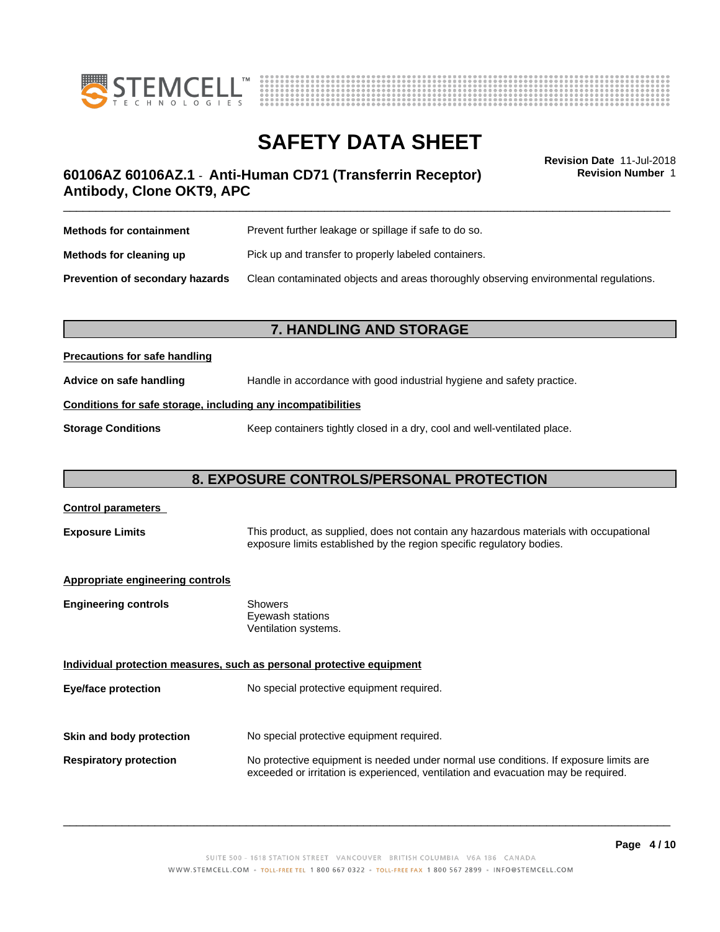



**Revision Number** 1

### \_\_\_\_\_\_\_\_\_\_\_\_\_\_\_\_\_\_\_\_\_\_\_\_\_\_\_\_\_\_\_\_\_\_\_\_\_\_\_\_\_\_\_\_\_\_\_\_\_\_\_\_\_\_\_\_\_\_\_\_\_\_\_\_\_\_\_\_\_\_\_\_\_\_\_\_\_\_\_\_\_\_\_\_\_\_\_\_\_\_\_\_\_ **Revision Date** 11-Jul-2018 **60106AZ 60106AZ.1** - **Anti-Human CD71 (Transferrin Receptor) Antibody, Clone OKT9, APC**

| <b>Methods for containment</b>         | Prevent further leakage or spillage if safe to do so.                                |
|----------------------------------------|--------------------------------------------------------------------------------------|
| Methods for cleaning up                | Pick up and transfer to properly labeled containers.                                 |
| <b>Prevention of secondary hazards</b> | Clean contaminated objects and areas thoroughly observing environmental regulations. |

### **7. HANDLING AND STORAGE**

### **Precautions for safe handling**

**Advice on safe handling** Handle in accordance with good industrial hygiene and safety practice.

### **Conditions for safe storage, including any incompatibilities**

**Storage Conditions** Keep containers tightly closed in a dry, cool and well-ventilated place.

### **8. EXPOSURE CONTROLS/PERSONAL PROTECTION**

| <b>Control parameters</b>        |                                                                                                                                                                             |
|----------------------------------|-----------------------------------------------------------------------------------------------------------------------------------------------------------------------------|
| <b>Exposure Limits</b>           | This product, as supplied, does not contain any hazardous materials with occupational<br>exposure limits established by the region specific regulatory bodies.              |
| Appropriate engineering controls |                                                                                                                                                                             |
| <b>Engineering controls</b>      | <b>Showers</b><br>Eyewash stations<br>Ventilation systems.                                                                                                                  |
|                                  | Individual protection measures, such as personal protective equipment                                                                                                       |
| Eye/face protection              | No special protective equipment required.                                                                                                                                   |
|                                  |                                                                                                                                                                             |
| Skin and body protection         | No special protective equipment required.                                                                                                                                   |
| <b>Respiratory protection</b>    | No protective equipment is needed under normal use conditions. If exposure limits are<br>exceeded or irritation is experienced, ventilation and evacuation may be required. |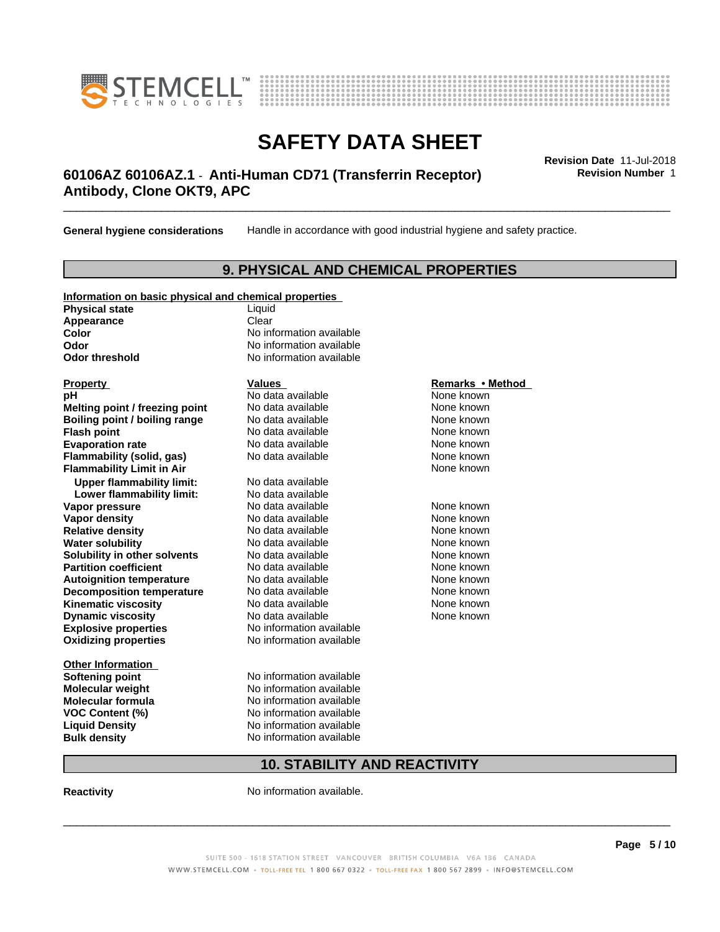



### \_\_\_\_\_\_\_\_\_\_\_\_\_\_\_\_\_\_\_\_\_\_\_\_\_\_\_\_\_\_\_\_\_\_\_\_\_\_\_\_\_\_\_\_\_\_\_\_\_\_\_\_\_\_\_\_\_\_\_\_\_\_\_\_\_\_\_\_\_\_\_\_\_\_\_\_\_\_\_\_\_\_\_\_\_\_\_\_\_\_\_\_\_ **Revision Date** 11-Jul-2018 **60106AZ 60106AZ.1** - **Anti-Human CD71 (Transferrin Receptor) Antibody, Clone OKT9, APC**

**General hygiene considerations** Handle in accordance with good industrial hygiene and safety practice.

### **9. PHYSICAL AND CHEMICAL PROPERTIES**

| Information on basic physical and chemical properties |                          |                  |
|-------------------------------------------------------|--------------------------|------------------|
| <b>Physical state</b>                                 | Liquid                   |                  |
| Appearance                                            | Clear                    |                  |
| Color                                                 | No information available |                  |
| Odor                                                  | No information available |                  |
| <b>Odor threshold</b>                                 | No information available |                  |
|                                                       |                          |                  |
| <b>Property</b>                                       | <b>Values</b>            | Remarks • Method |
| рH                                                    | No data available        | None known       |
| Melting point / freezing point                        | No data available        | None known       |
| Boiling point / boiling range                         | No data available        | None known       |
| <b>Flash point</b>                                    | No data available        | None known       |
| <b>Evaporation rate</b>                               | No data available        | None known       |
| Flammability (solid, gas)                             | No data available        | None known       |
| <b>Flammability Limit in Air</b>                      |                          | None known       |
| <b>Upper flammability limit:</b>                      | No data available        |                  |
| Lower flammability limit:                             | No data available        |                  |
| Vapor pressure                                        | No data available        | None known       |
| Vapor density                                         | No data available        | None known       |
| <b>Relative density</b>                               | No data available        | None known       |
| <b>Water solubility</b>                               | No data available        | None known       |
| Solubility in other solvents                          | No data available        | None known       |
| <b>Partition coefficient</b>                          | No data available        | None known       |
| <b>Autoignition temperature</b>                       | No data available        | None known       |
| <b>Decomposition temperature</b>                      | No data available        | None known       |
| <b>Kinematic viscosity</b>                            | No data available        | None known       |
| <b>Dynamic viscosity</b>                              | No data available        | None known       |
| <b>Explosive properties</b>                           | No information available |                  |

**Oxidizing properties** No information available

**Other Information**

**Softening point** No information available **Molecular weight** No information available **Molecular formula** No information available **VOC Content (%)** No information available **Liquid Density No information available**<br> **Bulk density No information available No information available** 

#### **Remarks** • Method

### **10. STABILITY AND REACTIVITY**

**Reactivity No information available.** 

SUITE 500 - 1618 STATION STREET VANCOUVER BRITISH COLUMBIA V6A 1B6 CANADA WWW.STEMCELL.COM • TOLL-FREE TEL 1 800 667 0322 • TOLL-FREE FAX 1 800 567 2899 • INFO@STEMCELL.COM

 $\overline{\phantom{a}}$  ,  $\overline{\phantom{a}}$  ,  $\overline{\phantom{a}}$  ,  $\overline{\phantom{a}}$  ,  $\overline{\phantom{a}}$  ,  $\overline{\phantom{a}}$  ,  $\overline{\phantom{a}}$  ,  $\overline{\phantom{a}}$  ,  $\overline{\phantom{a}}$  ,  $\overline{\phantom{a}}$  ,  $\overline{\phantom{a}}$  ,  $\overline{\phantom{a}}$  ,  $\overline{\phantom{a}}$  ,  $\overline{\phantom{a}}$  ,  $\overline{\phantom{a}}$  ,  $\overline{\phantom{a}}$ 

**Page 5 / 10**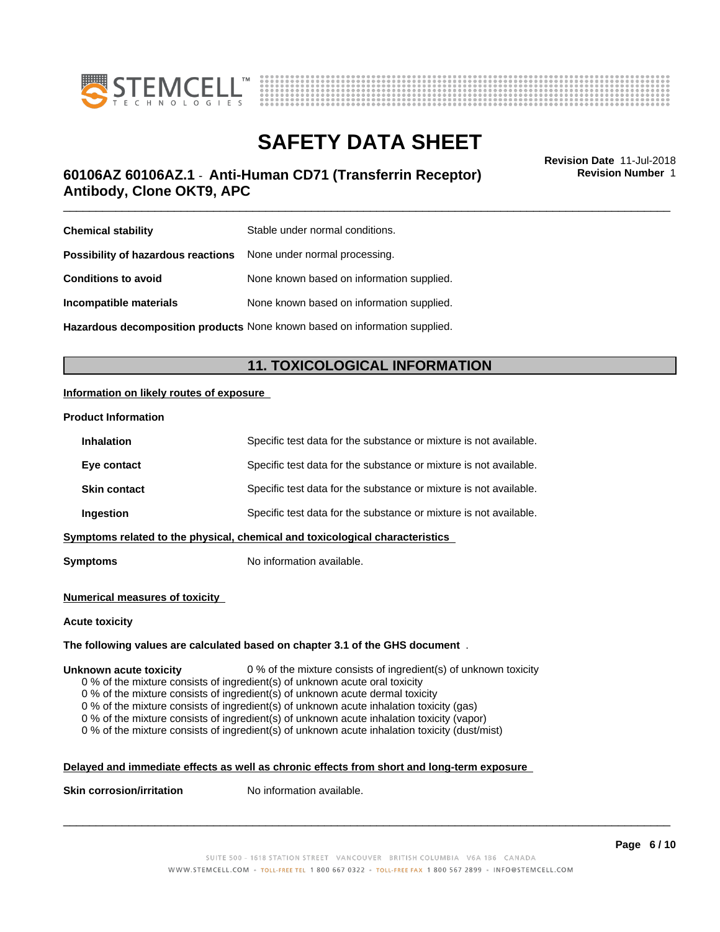



### \_\_\_\_\_\_\_\_\_\_\_\_\_\_\_\_\_\_\_\_\_\_\_\_\_\_\_\_\_\_\_\_\_\_\_\_\_\_\_\_\_\_\_\_\_\_\_\_\_\_\_\_\_\_\_\_\_\_\_\_\_\_\_\_\_\_\_\_\_\_\_\_\_\_\_\_\_\_\_\_\_\_\_\_\_\_\_\_\_\_\_\_\_ **Revision Date** 11-Jul-2018 **60106AZ 60106AZ.1** - **Anti-Human CD71 (Transferrin Receptor) Antibody, Clone OKT9, APC**

**Revision Number** 1

| <b>Chemical stability</b>                                               | Stable under normal conditions.           |
|-------------------------------------------------------------------------|-------------------------------------------|
| <b>Possibility of hazardous reactions</b> None under normal processing. |                                           |
| <b>Conditions to avoid</b>                                              | None known based on information supplied. |
| Incompatible materials                                                  | None known based on information supplied. |
|                                                                         |                                           |

**Hazardous decomposition products** None known based on information supplied.

### **11. TOXICOLOGICAL INFORMATION**

### **Information on likely routes of exposure**

#### **Product Information**

| <b>Inhalation</b>   | Specific test data for the substance or mixture is not available.            |
|---------------------|------------------------------------------------------------------------------|
| Eye contact         | Specific test data for the substance or mixture is not available.            |
| <b>Skin contact</b> | Specific test data for the substance or mixture is not available.            |
| Ingestion           | Specific test data for the substance or mixture is not available.            |
|                     | Symptoms related to the physical, chemical and toxicological characteristics |
|                     |                                                                              |

**Symptoms** No information available.

#### **Numerical measures of toxicity**

#### **Acute toxicity**

#### **The following values are calculated based on chapter 3.1 of the GHS document** .

#### **Unknown acute toxicity** 0 % of the mixture consists of ingredient(s) of unknown toxicity

0 % of the mixture consists of ingredient(s) of unknown acute oral toxicity

0 % of the mixture consists of ingredient(s) of unknown acute dermal toxicity

0 % of the mixture consists of ingredient(s) of unknown acute inhalation toxicity (gas)

0 % of the mixture consists of ingredient(s) of unknown acute inhalation toxicity (vapor)

0 % of the mixture consists of ingredient(s) of unknown acute inhalation toxicity (dust/mist)

### **Delayed and immediate effects as well as chronic effects from short and long-term exposure**

**Skin corrosion/irritation** No information available.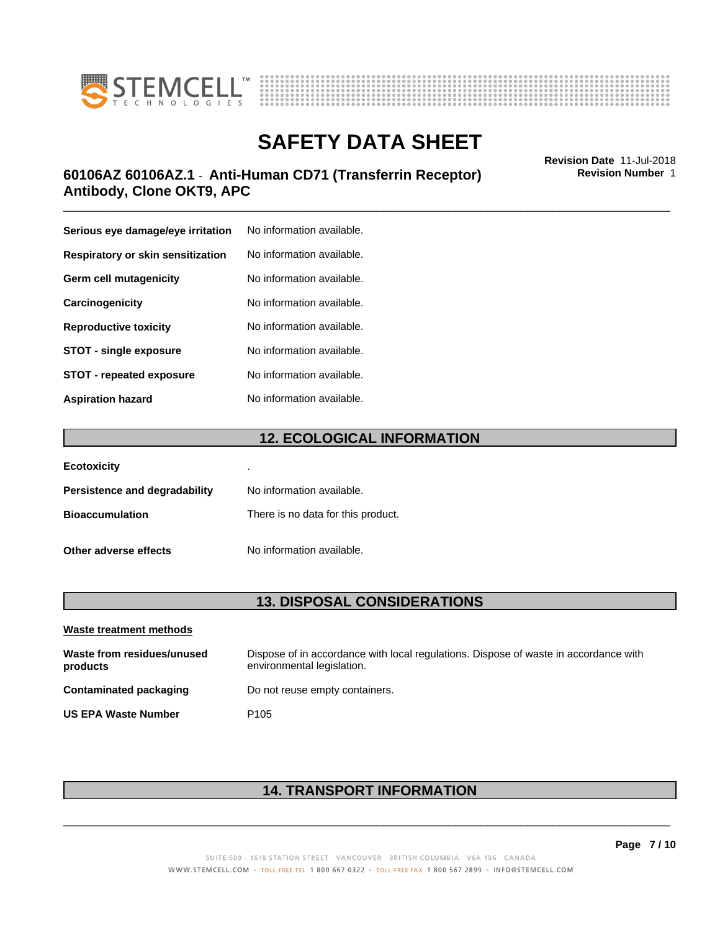



### \_\_\_\_\_\_\_\_\_\_\_\_\_\_\_\_\_\_\_\_\_\_\_\_\_\_\_\_\_\_\_\_\_\_\_\_\_\_\_\_\_\_\_\_\_\_\_\_\_\_\_\_\_\_\_\_\_\_\_\_\_\_\_\_\_\_\_\_\_\_\_\_\_\_\_\_\_\_\_\_\_\_\_\_\_\_\_\_\_\_\_\_\_ **Revision Date** 11-Jul-2018 **60106AZ 60106AZ.1** - **Anti-Human CD71 (Transferrin Receptor) Antibody, Clone OKT9, APC**

**Serious eye damage/eye irritation** No information available. **Respiratory or skin sensitization** No information available. **Germ cell mutagenicity** No information available. **Carcinogenicity** No information available. **Reproductive toxicity** No information available. **STOT** - single exposure No information available. **STOT** - **repeated exposure** No information available. **Aspiration hazard** No information available.

### **12. ECOLOGICAL INFORMATION**

| <b>Ecotoxicity</b>            | ٠                                  |
|-------------------------------|------------------------------------|
| Persistence and degradability | No information available.          |
| <b>Bioaccumulation</b>        | There is no data for this product. |
| Other adverse effects         | No information available.          |

### **13. DISPOSAL CONSIDERATIONS**

| Waste treatment methods                |                                                                                                                    |
|----------------------------------------|--------------------------------------------------------------------------------------------------------------------|
| Waste from residues/unused<br>products | Dispose of in accordance with local regulations. Dispose of waste in accordance with<br>environmental legislation. |
| Contaminated packaging                 | Do not reuse empty containers.                                                                                     |
| <b>US EPA Waste Number</b>             | P <sub>105</sub>                                                                                                   |

### **14. TRANSPORT INFORMATION**

 $\overline{\phantom{a}}$  ,  $\overline{\phantom{a}}$  ,  $\overline{\phantom{a}}$  ,  $\overline{\phantom{a}}$  ,  $\overline{\phantom{a}}$  ,  $\overline{\phantom{a}}$  ,  $\overline{\phantom{a}}$  ,  $\overline{\phantom{a}}$  ,  $\overline{\phantom{a}}$  ,  $\overline{\phantom{a}}$  ,  $\overline{\phantom{a}}$  ,  $\overline{\phantom{a}}$  ,  $\overline{\phantom{a}}$  ,  $\overline{\phantom{a}}$  ,  $\overline{\phantom{a}}$  ,  $\overline{\phantom{a}}$ 

**Page 7 / 10**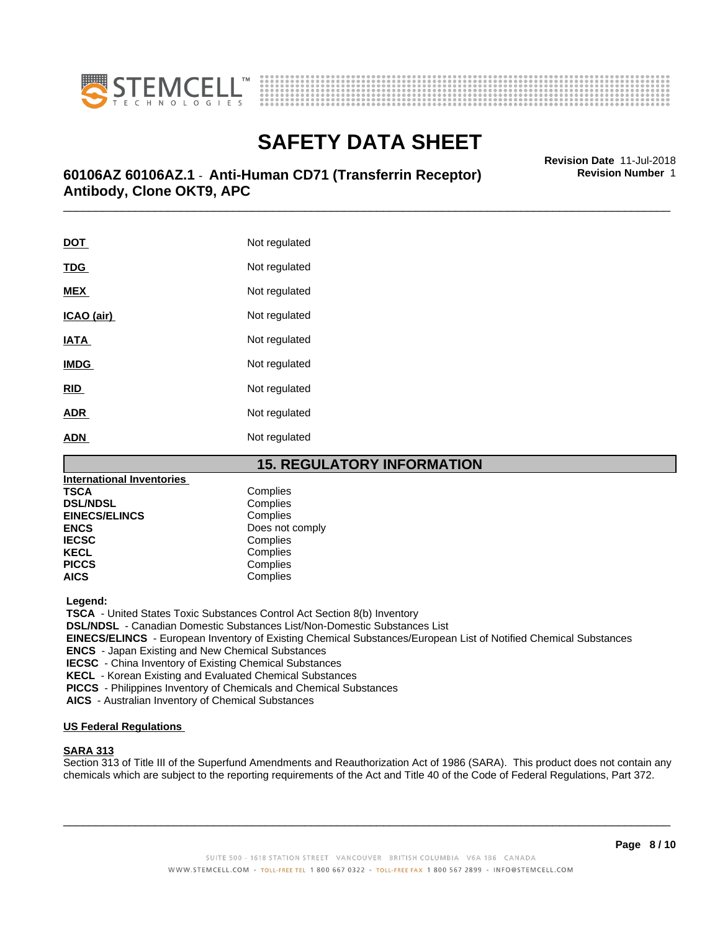



### \_\_\_\_\_\_\_\_\_\_\_\_\_\_\_\_\_\_\_\_\_\_\_\_\_\_\_\_\_\_\_\_\_\_\_\_\_\_\_\_\_\_\_\_\_\_\_\_\_\_\_\_\_\_\_\_\_\_\_\_\_\_\_\_\_\_\_\_\_\_\_\_\_\_\_\_\_\_\_\_\_\_\_\_\_\_\_\_\_\_\_\_\_ **Revision Date** 11-Jul-2018 **60106AZ 60106AZ.1** - **Anti-Human CD71 (Transferrin Receptor) Antibody, Clone OKT9, APC**

**DOT** Not regulated **TDG** Not regulated **MEX** Not regulated **ICAO** (air) Not regulated **IATA** Not regulated **IMDG** Not regulated **RID** Not regulated **ADR** Not regulated **ADN** Not regulated

### **15. REGULATORY INFORMATION**

| <b>International Inventories</b> |                 |
|----------------------------------|-----------------|
| TSCA                             | Complies        |
| <b>DSL/NDSL</b>                  | Complies        |
| <b>EINECS/ELINCS</b>             | Complies        |
| <b>ENCS</b>                      | Does not comply |
| <b>IECSC</b>                     | Complies        |
| <b>KECL</b>                      | Complies        |
| <b>PICCS</b>                     | Complies        |
| AICS                             | Complies        |
|                                  |                 |

 **Legend:**

 **TSCA** - United States Toxic Substances Control Act Section 8(b) Inventory

 **DSL/NDSL** - Canadian Domestic Substances List/Non-Domestic Substances List

 **EINECS/ELINCS** - European Inventory of Existing Chemical Substances/European List of Notified Chemical Substances

 **ENCS** - Japan Existing and New Chemical Substances

 **IECSC** - China Inventory of Existing Chemical Substances

 **KECL** - Korean Existing and Evaluated Chemical Substances

 **PICCS** - Philippines Inventory of Chemicals and Chemical Substances

 **AICS** - Australian Inventory of Chemical Substances

### **US Federal Regulations**

#### **SARA 313**

Section 313 of Title III of the Superfund Amendments and Reauthorization Act of 1986 (SARA). This product does not contain any chemicals which are subject to the reporting requirements of the Act and Title 40 of the Code of Federal Regulations, Part 372.

 $\overline{\phantom{a}}$  ,  $\overline{\phantom{a}}$  ,  $\overline{\phantom{a}}$  ,  $\overline{\phantom{a}}$  ,  $\overline{\phantom{a}}$  ,  $\overline{\phantom{a}}$  ,  $\overline{\phantom{a}}$  ,  $\overline{\phantom{a}}$  ,  $\overline{\phantom{a}}$  ,  $\overline{\phantom{a}}$  ,  $\overline{\phantom{a}}$  ,  $\overline{\phantom{a}}$  ,  $\overline{\phantom{a}}$  ,  $\overline{\phantom{a}}$  ,  $\overline{\phantom{a}}$  ,  $\overline{\phantom{a}}$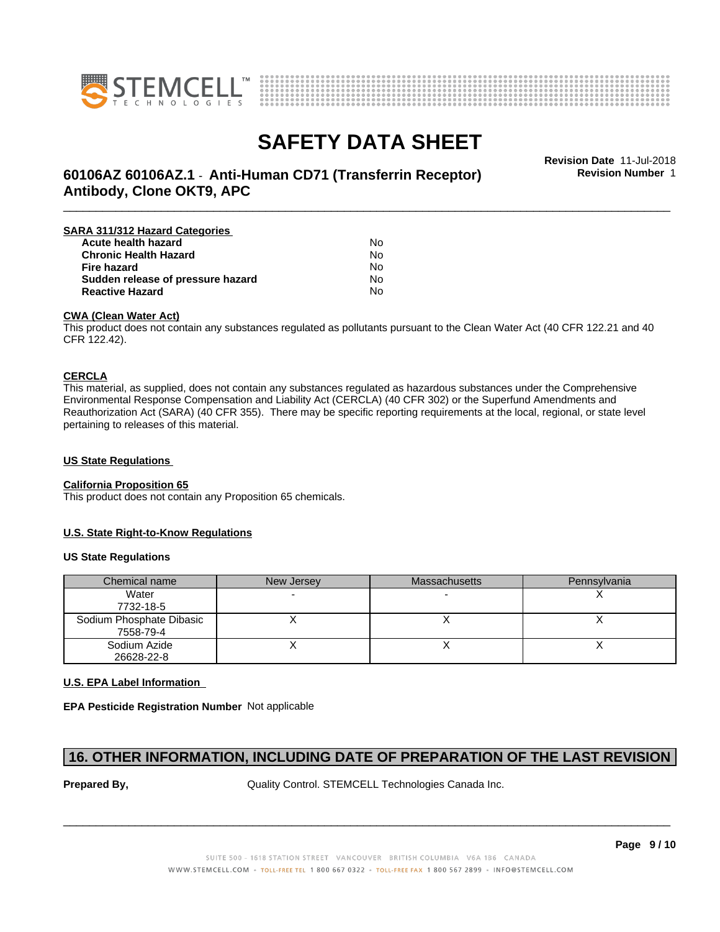



# **SAFETY DATA SHEET**<br>Revision Date 11-Jul-2018

**Revision Number** 1

### \_\_\_\_\_\_\_\_\_\_\_\_\_\_\_\_\_\_\_\_\_\_\_\_\_\_\_\_\_\_\_\_\_\_\_\_\_\_\_\_\_\_\_\_\_\_\_\_\_\_\_\_\_\_\_\_\_\_\_\_\_\_\_\_\_\_\_\_\_\_\_\_\_\_\_\_\_\_\_\_\_\_\_\_\_\_\_\_\_\_\_\_\_ **Revision Date** 11-Jul-2018 **60106AZ 60106AZ.1** - **Anti-Human CD71 (Transferrin Receptor) Antibody, Clone OKT9, APC**

| SARA 311/312 Hazard Categories    |    |  |
|-----------------------------------|----|--|
| Acute health hazard               | No |  |
| <b>Chronic Health Hazard</b>      | No |  |
| <b>Fire hazard</b>                | No |  |
| Sudden release of pressure hazard | N٥ |  |
| <b>Reactive Hazard</b>            | No |  |

#### **CWA (Clean WaterAct)**

This product does not contain any substances regulated as pollutants pursuant to the Clean Water Act (40 CFR 122.21 and 40 CFR 122.42).

#### **CERCLA**

This material, as supplied, does not contain any substances regulated as hazardous substances under the Comprehensive Environmental Response Compensation and Liability Act (CERCLA) (40 CFR 302) or the Superfund Amendments and Reauthorization Act (SARA) (40 CFR 355). There may be specific reporting requirements at the local, regional, or state level pertaining to releases of this material.

### **US State Regulations**

#### **California Proposition 65**

This product does not contain any Proposition 65 chemicals.

#### **U.S. State Right-to-Know Regulations**

#### **US State Regulations**

| Chemical name            | New Jersey | <b>Massachusetts</b> | Pennsylvania |
|--------------------------|------------|----------------------|--------------|
| Water                    |            |                      |              |
| 7732-18-5                |            |                      |              |
| Sodium Phosphate Dibasic |            |                      |              |
| 7558-79-4                |            |                      |              |
| Sodium Azide             |            |                      |              |
| 26628-22-8               |            |                      |              |

### **U.S. EPA Label Information**

**EPA Pesticide Registration Number** Not applicable

### **16. OTHER INFORMATION, INCLUDING DATE OF PREPARATION OF THE LAST REVISION**

**Prepared By, State Control. STEMCELL Technologies Canada Inc.**